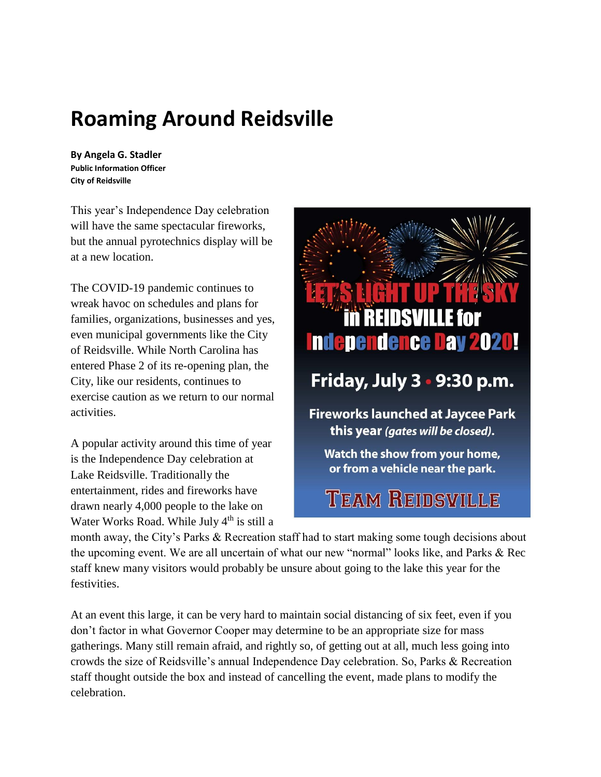# **Roaming Around Reidsville**

**By Angela G. Stadler Public Information Officer City of Reidsville**

This year's Independence Day celebration will have the same spectacular fireworks, but the annual pyrotechnics display will be at a new location.

The COVID-19 pandemic continues to wreak havoc on schedules and plans for families, organizations, businesses and yes, even municipal governments like the City of Reidsville. While North Carolina has entered Phase 2 of its re-opening plan, the City, like our residents, continues to exercise caution as we return to our normal activities.

A popular activity around this time of year is the Independence Day celebration at Lake Reidsville. Traditionally the entertainment, rides and fireworks have drawn nearly 4,000 people to the lake on Water Works Road. While July 4<sup>th</sup> is still a



Watch the show from your home, or from a vehicle near the park.

## **TEAM REIDSVILLE**

month away, the City's Parks & Recreation staff had to start making some tough decisions about the upcoming event. We are all uncertain of what our new "normal" looks like, and Parks & Rec staff knew many visitors would probably be unsure about going to the lake this year for the festivities.

At an event this large, it can be very hard to maintain social distancing of six feet, even if you don't factor in what Governor Cooper may determine to be an appropriate size for mass gatherings. Many still remain afraid, and rightly so, of getting out at all, much less going into crowds the size of Reidsville's annual Independence Day celebration. So, Parks & Recreation staff thought outside the box and instead of cancelling the event, made plans to modify the celebration.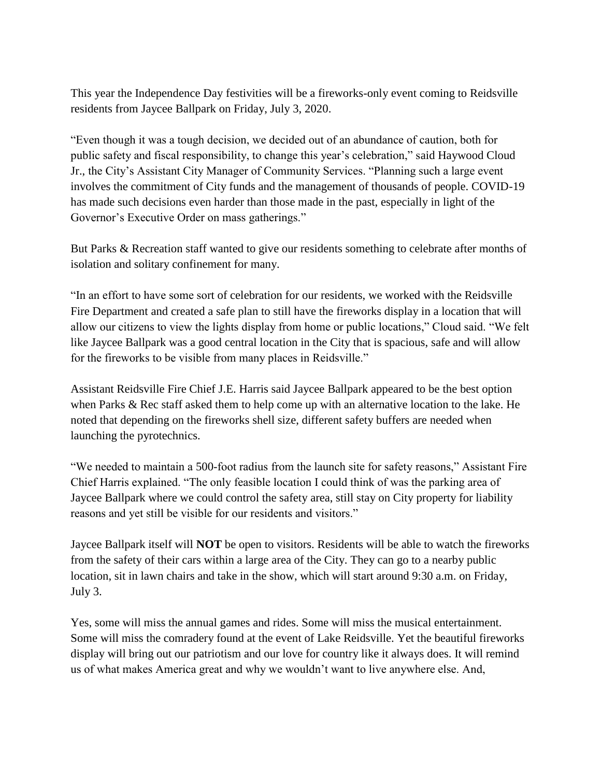This year the Independence Day festivities will be a fireworks-only event coming to Reidsville residents from Jaycee Ballpark on Friday, July 3, 2020.

"Even though it was a tough decision, we decided out of an abundance of caution, both for public safety and fiscal responsibility, to change this year's celebration," said Haywood Cloud Jr., the City's Assistant City Manager of Community Services. "Planning such a large event involves the commitment of City funds and the management of thousands of people. COVID-19 has made such decisions even harder than those made in the past, especially in light of the Governor's Executive Order on mass gatherings."

But Parks & Recreation staff wanted to give our residents something to celebrate after months of isolation and solitary confinement for many.

"In an effort to have some sort of celebration for our residents, we worked with the Reidsville Fire Department and created a safe plan to still have the fireworks display in a location that will allow our citizens to view the lights display from home or public locations," Cloud said. "We felt like Jaycee Ballpark was a good central location in the City that is spacious, safe and will allow for the fireworks to be visible from many places in Reidsville."

Assistant Reidsville Fire Chief J.E. Harris said Jaycee Ballpark appeared to be the best option when Parks & Rec staff asked them to help come up with an alternative location to the lake. He noted that depending on the fireworks shell size, different safety buffers are needed when launching the pyrotechnics.

"We needed to maintain a 500-foot radius from the launch site for safety reasons," Assistant Fire Chief Harris explained. "The only feasible location I could think of was the parking area of Jaycee Ballpark where we could control the safety area, still stay on City property for liability reasons and yet still be visible for our residents and visitors."

Jaycee Ballpark itself will **NOT** be open to visitors. Residents will be able to watch the fireworks from the safety of their cars within a large area of the City. They can go to a nearby public location, sit in lawn chairs and take in the show, which will start around 9:30 a.m. on Friday, July 3.

Yes, some will miss the annual games and rides. Some will miss the musical entertainment. Some will miss the comradery found at the event of Lake Reidsville. Yet the beautiful fireworks display will bring out our patriotism and our love for country like it always does. It will remind us of what makes America great and why we wouldn't want to live anywhere else. And,